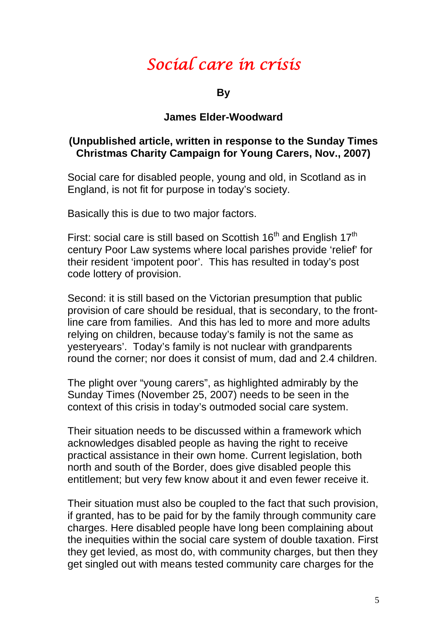## *Social care in crisis*

**By** 

## **James Elder-Woodward**

## **(Unpublished article, written in response to the Sunday Times Christmas Charity Campaign for Young Carers, Nov., 2007)**

Social care for disabled people, young and old, in Scotland as in England, is not fit for purpose in today's society.

Basically this is due to two major factors.

First: social care is still based on Scottish  $16<sup>th</sup>$  and English  $17<sup>th</sup>$ century Poor Law systems where local parishes provide 'relief' for their resident 'impotent poor'. This has resulted in today's post code lottery of provision.

Second: it is still based on the Victorian presumption that public provision of care should be residual, that is secondary, to the frontline care from families. And this has led to more and more adults relying on children, because today's family is not the same as yesteryears'. Today's family is not nuclear with grandparents round the corner; nor does it consist of mum, dad and 2.4 children.

The plight over "young carers", as highlighted admirably by the Sunday Times (November 25, 2007) needs to be seen in the context of this crisis in today's outmoded social care system.

Their situation needs to be discussed within a framework which acknowledges disabled people as having the right to receive practical assistance in their own home. Current legislation, both north and south of the Border, does give disabled people this entitlement; but very few know about it and even fewer receive it.

Their situation must also be coupled to the fact that such provision, if granted, has to be paid for by the family through community care charges. Here disabled people have long been complaining about the inequities within the social care system of double taxation. First they get levied, as most do, with community charges, but then they get singled out with means tested community care charges for the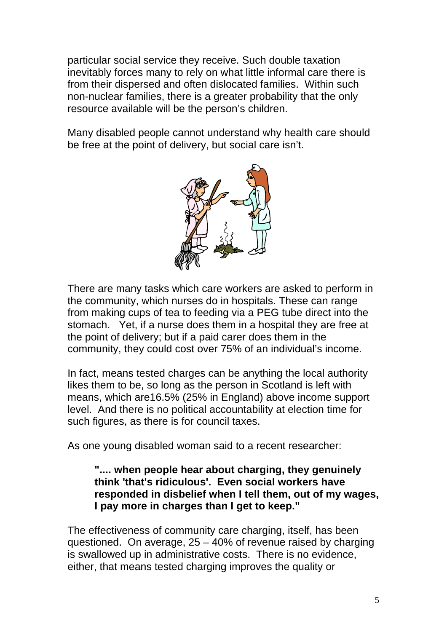particular social service they receive. Such double taxation inevitably forces many to rely on what little informal care there is from their dispersed and often dislocated families. Within such non-nuclear families, there is a greater probability that the only resource available will be the person's children.

Many disabled people cannot understand why health care should be free at the point of delivery, but social care isn't.



There are many tasks which care workers are asked to perform in the community, which nurses do in hospitals. These can range from making cups of tea to feeding via a PEG tube direct into the stomach. Yet, if a nurse does them in a hospital they are free at the point of delivery; but if a paid carer does them in the community, they could cost over 75% of an individual's income.

In fact, means tested charges can be anything the local authority likes them to be, so long as the person in Scotland is left with means, which are16.5% (25% in England) above income support level. And there is no political accountability at election time for such figures, as there is for council taxes.

As one young disabled woman said to a recent researcher:

## **".... when people hear about charging, they genuinely think 'that's ridiculous'. Even social workers have responded in disbelief when I tell them, out of my wages, I pay more in charges than I get to keep."**

The effectiveness of community care charging, itself, has been questioned. On average, 25 – 40% of revenue raised by charging is swallowed up in administrative costs. There is no evidence, either, that means tested charging improves the quality or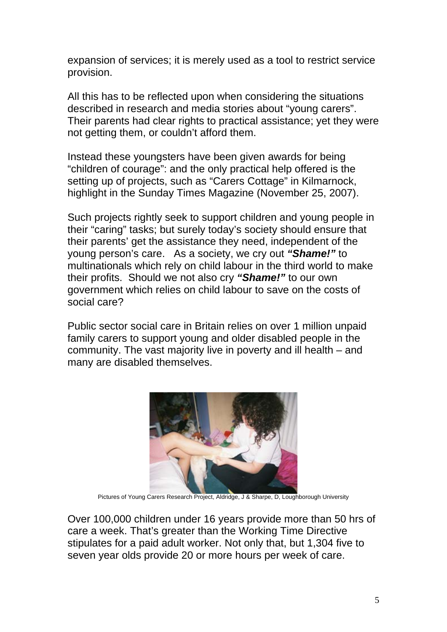expansion of services; it is merely used as a tool to restrict service provision.

All this has to be reflected upon when considering the situations described in research and media stories about "young carers". Their parents had clear rights to practical assistance; yet they were not getting them, or couldn't afford them.

Instead these youngsters have been given awards for being "children of courage": and the only practical help offered is the setting up of projects, such as "Carers Cottage" in Kilmarnock, highlight in the Sunday Times Magazine (November 25, 2007).

Such projects rightly seek to support children and young people in their "caring" tasks; but surely today's society should ensure that their parents' get the assistance they need, independent of the young person's care. As a society, we cry out *"Shame!"* to multinationals which rely on child labour in the third world to make their profits. Should we not also cry *"Shame!"* to our own government which relies on child labour to save on the costs of social care?

Public sector social care in Britain relies on over 1 million unpaid family carers to support young and older disabled people in the community. The vast majority live in poverty and ill health – and many are disabled themselves.



Pictures of Young Carers Research Project, Aldridge, J & Sharpe, D, Loughborough University

Over 100,000 children under 16 years provide more than 50 hrs of care a week. That's greater than the Working Time Directive stipulates for a paid adult worker. Not only that, but 1,304 five to seven year olds provide 20 or more hours per week of care.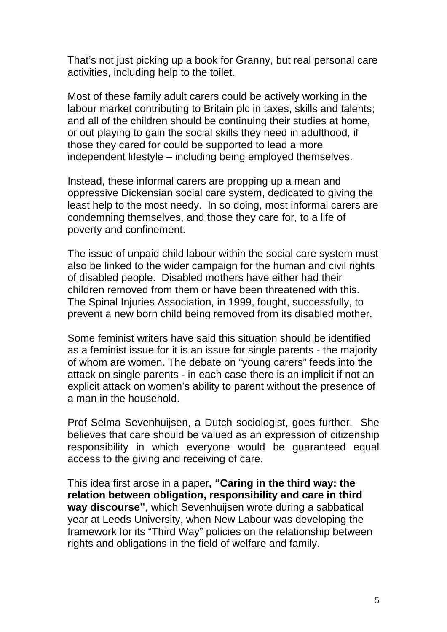That's not just picking up a book for Granny, but real personal care activities, including help to the toilet.

Most of these family adult carers could be actively working in the labour market contributing to Britain plc in taxes, skills and talents; and all of the children should be continuing their studies at home, or out playing to gain the social skills they need in adulthood, if those they cared for could be supported to lead a more independent lifestyle – including being employed themselves.

Instead, these informal carers are propping up a mean and oppressive Dickensian social care system, dedicated to giving the least help to the most needy. In so doing, most informal carers are condemning themselves, and those they care for, to a life of poverty and confinement.

The issue of unpaid child labour within the social care system must also be linked to the wider campaign for the human and civil rights of disabled people. Disabled mothers have either had their children removed from them or have been threatened with this. The Spinal Injuries Association, in 1999, fought, successfully, to prevent a new born child being removed from its disabled mother.

Some feminist writers have said this situation should be identified as a feminist issue for it is an issue for single parents - the majority of whom are women. The debate on "young carers" feeds into the attack on single parents - in each case there is an implicit if not an explicit attack on women's ability to parent without the presence of a man in the household.

Prof Selma Sevenhuijsen, a Dutch sociologist, goes further. She believes that care should be valued as an expression of citizenship responsibility in which everyone would be guaranteed equal access to the giving and receiving of care.

This idea first arose in a paper**, "Caring in the third way: the relation between obligation, responsibility and care in third way discourse"**, which Sevenhuijsen wrote during a sabbatical year at Leeds University, when New Labour was developing the framework for its "Third Way" policies on the relationship between rights and obligations in the field of welfare and family.